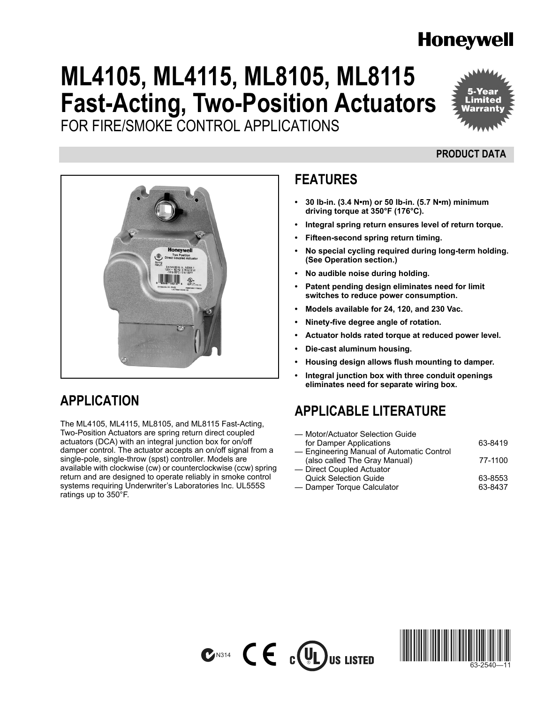# **Honeywell**

# **ML4105, ML4115, ML8105, ML8115 Fast-Acting, Two-Position Actuators** FOR FIRE/SMOKE CONTROL APPLICATIONS



## **PRODUCT DATA**



## **APPLICATION**

The ML4105, ML4115, ML8105, and ML8115 Fast-Acting, Two-Position Actuators are spring return direct coupled actuators (DCA) with an integral junction box for on/off damper control. The actuator accepts an on/off signal from a single-pole, single-throw (spst) controller. Models are available with clockwise (cw) or counterclockwise (ccw) spring return and are designed to operate reliably in smoke control systems requiring Underwriter's Laboratories Inc. UL555S ratings up to 350°F.

## **FEATURES**

- 30 lb-in. (3.4 N·m) or 50 lb-in. (5.7 N·m) minimum **driving torque at 350°F (176°C).**
- Integral spring return ensures level of return torque.
- **ï Fifteen-second spring return timing.**
- **ï No special cycling required during long-term holding. ([See Operation section.](#page-5-0))**
- **ï No audible noise during holding.**
- **ï Patent pending design eliminates need for limit switches to reduce power consumption.**
- **ï Models available for 24, 120, and 230 Vac.**
- **ï Ninety-five degree angle of rotation.**
- Actuator holds rated torque at reduced power level.
- **ï Die-cast aluminum housing.**
- **ï Housing design allows flush mounting to damper.**
- Integral junction box with three conduit openings **eliminates need for separate wiring box.**

## **APPLICABLE LITERATURE**

| — Motor/Actuator Selection Guide          |         |
|-------------------------------------------|---------|
| for Damper Applications                   | 63-8419 |
| - Engineering Manual of Automatic Control |         |
| (also called The Gray Manual)             | 77-1100 |
| - Direct Coupled Actuator                 |         |
| <b>Quick Selection Guide</b>              | 63-8553 |
| - Damper Torque Calculator                | 63-8437 |
|                                           |         |



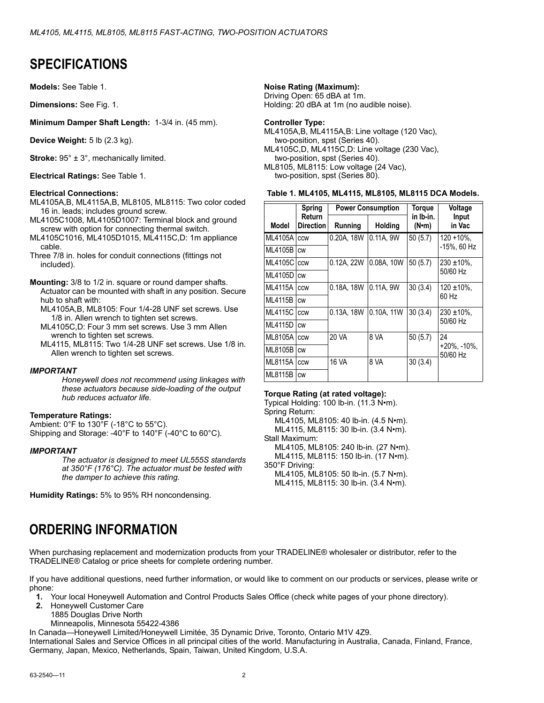## **SPECIFICATIONS**

**Models:** See [Table 1](#page-1-0).

**Dimensions:** See Fig. 1.

**Minimum Damper Shaft Length:** 1-3/4 in. (45 mm).

**Device Weight:** 5 lb (2.3 kg).

**Stroke:**  $95^\circ \pm 3^\circ$ , mechanically limited.

**Electrical Ratings:** See [Table 1.](#page-1-0)

#### **Electrical Connections:**

- ML4105A,B, ML4115A,B, ML8105, ML8115: Two color coded 16 in. leads; includes ground screw.
- ML4105C1008, ML4105D1007: Terminal block and ground screw with option for connecting thermal switch.
- ML4105C1016, ML4105D1015, ML4115C,D: 1m appliance cable.
- Three 7/8 in. holes for conduit connections (fittings not included).
- **Mounting:** 3/8 to 1/2 in. square or round damper shafts. Actuator can be mounted with shaft in any position. Secure hub to shaft with:
	- ML4105A,B, ML8105: Four 1/4-28 UNF set screws. Use 1/8 in. Allen wrench to tighten set screws.
	- ML4105C,D: Four 3 mm set screws. Use 3 mm Allen wrench to tighten set screws.
	- ML4115, ML8115: Two 1/4-28 UNF set screws. Use 1/8 in. Allen wrench to tighten set screws.

#### *IMPORTANT*

*Honeywell does not recommend using linkages with these actuators because side-loading of the output hub reduces actuator life.*

### **Temperature Ratings:**

Ambient: 0°F to 130°F (-18°C to 55°C). Shipping and Storage: -40°F to 140°F (-40°C to 60°C).

#### *IMPORTANT*

*The actuator is designed to meet UL555S standards at 350°F (176°C). The actuator must be tested with the damper to achieve this rating.*

**Humidity Ratings:** 5% to 95% RH noncondensing.

## **Noise Rating (Maximum):**

Driving Open: 65 dBA at 1m. Holding: 20 dBA at 1m (no audible noise).

### **Controller Type:**

ML4105A,B, ML4115A,B: Line voltage (120 Vac), two-position, spst (Series 40). ML4105C,D, ML4115C,D: Line voltage (230 Vac), two-position, spst (Series 40). ML8105, ML8115: Low voltage (24 Vac), two-position, spst (Series 80).

#### <span id="page-1-0"></span>**Table 1. ML4105, ML4115, ML8105, ML8115 DCA Models.**

|                | <b>Spring</b>              | <b>Power Consumption</b> |            | Torque                     | <b>Voltage</b>                  |
|----------------|----------------------------|--------------------------|------------|----------------------------|---------------------------------|
| Model          | Return<br><b>Direction</b> | Running                  | Holding    | in Ib-in.<br>$(N \cdot m)$ | Input<br>in Vac                 |
| ML4105A        | CCW                        | 0.20A, 18W               | 0.11A.9W   | 50(5.7)                    | $120 + 10\%$ .                  |
| ML4105B        | <b>CW</b>                  |                          |            |                            | -15%, 60 Hz                     |
| ML4105C        | <b>CCW</b>                 | 0.12A, 22W               | 0.08A, 10W | 50(5.7)                    | $230 \pm 10\%$ .                |
| ML4105D        | <b>CW</b>                  |                          |            |                            | 50/60 Hz                        |
| <b>ML4115A</b> | CCW                        | 0.18A, 18W               | 0.11A, 9W  | 30(3.4)                    | $120 \pm 10\%$ ,                |
| ML4115B        | <b>CW</b>                  |                          |            |                            | 60 Hz                           |
| <b>ML4115C</b> | CCW                        | 0.13A, 18W               | 0.10A, 11W | 30(3.4)                    | $230 \pm 10\%$ ,                |
| <b>ML4115D</b> | <b>CW</b>                  |                          |            |                            | 50/60 Hz                        |
| ML8105A        | CCW                        | 20 VA                    | 8 VA       | 50(5.7)                    | 24                              |
| ML8105B        | <b>CW</b>                  |                          |            |                            | $+20\%$ , $-10\%$ ,<br>50/60 Hz |
| ML8115A        | CCW                        | 16 VA                    | 8 VA       | 30(3.4)                    |                                 |
| <b>ML8115B</b> | <b>CW</b>                  |                          |            |                            |                                 |

### **Torque Rating (at rated voltage):**

Typical Holding:  $100$  lb-in. (11.3 N $\cdot$ m). Spring Return: ML4105, ML8105: 40 lb-in. (4.5 N·m). ML4115, ML8115: 30 lb-in. (3.4 N·m). Stall Maximum: ML4105, ML8105: 240 lb-in. (27 N•m). ML4115, ML8115: 150 lb-in. (17 N•m). 350°F Driving: ML4105, ML8105: 50 lb-in. (5.7 N•m). ML4115, ML8115: 30 lb-in. (3.4 N·m).

## **ORDERING INFORMATION**

When purchasing replacement and modernization products from your TRADELINE® wholesaler or distributor, refer to the TRADELINEÆ Catalog or price sheets for complete ordering number.

If you have additional questions, need further information, or would like to comment on our products or services, please write or phone:

- **1.** Your local Honeywell Automation and Control Products Sales Office (check white pages of your phone directory).
- **2.** Honeywell Customer Care
	- 1885 Douglas Drive North
	- Minneapolis, Minnesota 55422-4386

In Canada—Honeywell Limited/Honeywell Limitée, 35 Dynamic Drive, Toronto, Ontario M1V 4Z9.

International Sales and Service Offices in all principal cities of the world. Manufacturing in Australia, Canada, Finland, France, Germany, Japan, Mexico, Netherlands, Spain, Taiwan, United Kingdom, U.S.A.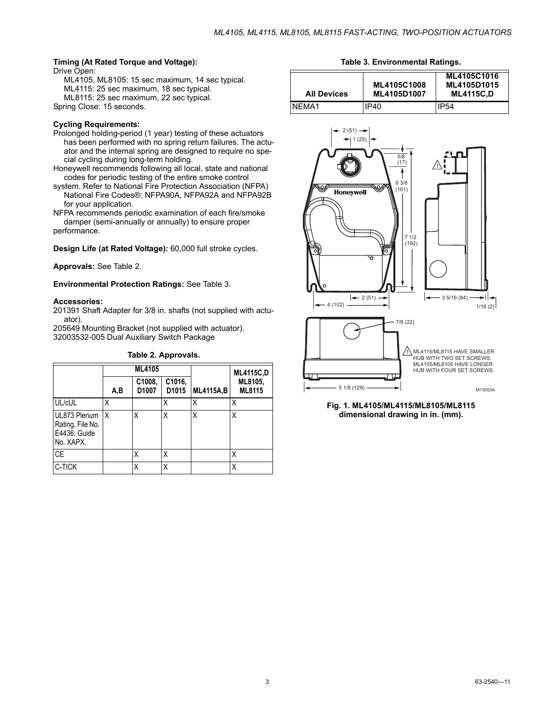### **Timing (At Rated Torque and Voltage):**

Drive Open:

ML4105, ML8105: 15 sec maximum, 14 sec typical. ML4115: 25 sec maximum, 18 sec typical. ML8115: 25 sec maximum, 22 sec typical. Spring Close: 15 seconds.

### **Cycling Requirements:**

- Prolonged holding-period (1 year) testing of these actuators has been performed with no spring return failures. The actuator and the internal spring are designed to require no special cycling during long-term holding.
- Honeywell recommends following all local, state and national codes for periodic testing of the entire smoke control
- system. Refer to National Fire Protection Association (NFPA) National Fire Codes®: NFPA90A, NFPA92A and NFPA92B for your application.
- NFPA recommends periodic examination of each fire/smoke damper (semi-annually or annually) to ensure proper performance.

**Design Life (at Rated Voltage):** 60,000 full stroke cycles.

**Approvals:** See [Table 2.](#page-2-0)

**Environmental Protection Ratings:** See [Table 3.](#page-2-1)

#### **Accessories:**

201391 Shaft Adapter for 3/8 in. shafts (not supplied with actuator).

205649 Mounting Bracket (not supplied with actuator). 32003532-005 Dual Auxiliary Switch Package

<span id="page-2-0"></span>

|                                                               | <b>ML4105</b> |                 |                             |                  | <b>ML4115C,D</b>  |  |
|---------------------------------------------------------------|---------------|-----------------|-----------------------------|------------------|-------------------|--|
|                                                               | A,B           | C1008,<br>D1007 | C1016,<br>D <sub>1015</sub> | <b>ML4115A,B</b> | ML8105,<br>ML8115 |  |
| UL/cUL                                                        | Χ             |                 | Χ                           | Χ                | Χ                 |  |
| UL873 Plenum<br>Rating, File No.<br>E4436; Guide<br>No. XAPX. | X             | Χ               | X                           | X                | Χ                 |  |
| <b>CE</b>                                                     |               | Χ               | Χ                           |                  | χ                 |  |
| C-TICK                                                        |               | Χ               | Χ                           |                  |                   |  |

**Table 2. Approvals.**

**Table 3. Environmental Ratings.**

<span id="page-2-1"></span>

| <b>All Devices</b> | ML4105C1008<br>ML4105D1007 | ML4105C1016<br>ML4105D1015<br><b>ML4115C.D</b> |
|--------------------|----------------------------|------------------------------------------------|
| NFMA1              | IP40                       | IP54                                           |



**Fig. 1. ML4105/ML4115/ML8105/ML8115 dimensional drawing in in. (mm).**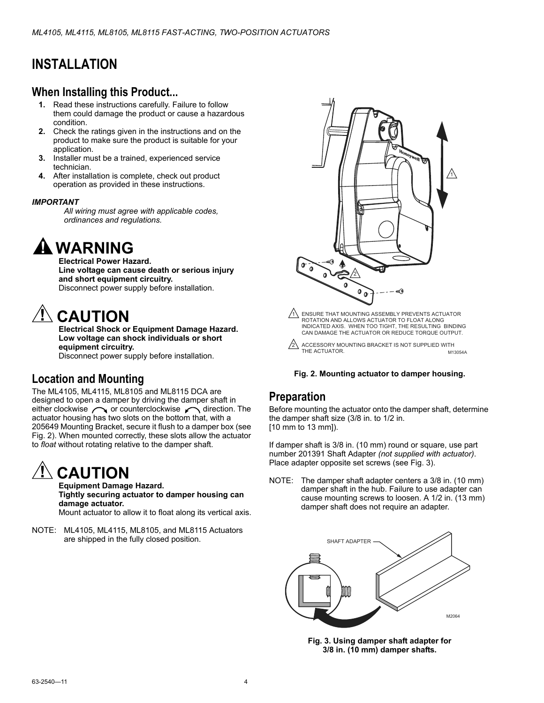## **INSTALLATION**

## **When Installing this Product...**

- **1.** Read these instructions carefully. Failure to follow them could damage the product or cause a hazardous condition.
- **2.** Check the ratings given in the instructions and on the product to make sure the product is suitable for your application.
- **3.** Installer must be a trained, experienced service technician.
- **4.** After installation is complete, check out product operation as provided in these instructions.

### *IMPORTANT*

*All wiring must agree with applicable codes, ordinances and regulations.*

# **WARNING**

**Electrical Power Hazard. Line voltage can cause death or serious injury and short equipment circuitry.** Disconnect power supply before installation.

# **CAUTION**

**Electrical Shock or Equipment Damage Hazard. Low voltage can shock individuals or short equipment circuitry.** Disconnect power supply before installation.

## **Location and Mounting**

The ML4105, ML4115, ML8105 and ML8115 DCA are designed to open a damper by driving the damper shaft in either clockwise  $\curvearrowright$  or counterclockwise  $\curvearrowleft$  direction. The actuator housing has two slots on the bottom that, with a 205649 Mounting Bracket, secure it flush to a damper box (see Fig. 2). When mounted correctly, these slots allow the actuator to *float* without rotating relative to the damper shaft.

# **CAUTION**

**Equipment Damage Hazard. Tightly securing actuator to damper housing can damage actuator.**

Mount actuator to allow it to float along its vertical axis.

NOTE: ML4105, ML4115, ML8105, and ML8115 Actuators are shipped in the fully closed position.



M13054A  $2\lambda$  ACCESSORY MOUNTING BRACKET IS NOT SUPPLIED WITH THE ACTUATOR.

#### **Fig. 2. Mounting actuator to damper housing.**

### **Preparation**

Before mounting the actuator onto the damper shaft, determine the damper shaft size (3/8 in. to 1/2 in. [10 mm to 13 mm]).

If damper shaft is 3/8 in. (10 mm) round or square, use part number 201391 Shaft Adapter *(not supplied with actuator)*. Place adapter opposite set screws (see Fig. 3).

NOTE: The damper shaft adapter centers a 3/8 in. (10 mm) damper shaft in the hub. Failure to use adapter can cause mounting screws to loosen. A 1/2 in. (13 mm) damper shaft does not require an adapter.



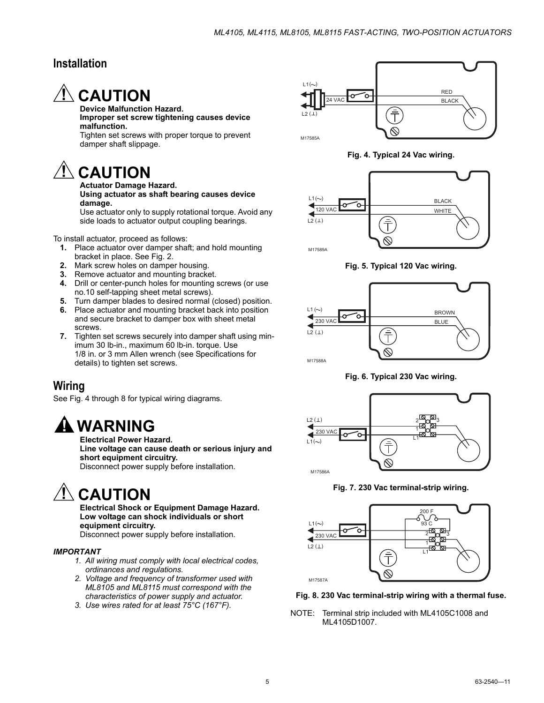## **Installation**



#### **Device Malfunction Hazard. Improper set screw tightening causes device malfunction.**

Tighten set screws with proper torque to prevent damper shaft slippage.

# $\Lambda$  CAUTION

#### **Actuator Damage Hazard. Using actuator as shaft bearing causes device damage.**

Use actuator only to supply rotational torque. Avoid any side loads to actuator output coupling bearings.

To install actuator, proceed as follows:

- **1.** Place actuator over damper shaft; and hold mounting bracket in place. See Fig. 2.
- **2.** Mark screw holes on damper housing.
- **3.** Remove actuator and mounting bracket.
- **4.** Drill or center-punch holes for mounting screws (or use no.10 self-tapping sheet metal screws).
- **5.** Turn damper blades to desired normal (closed) position.
- **6.** Place actuator and mounting bracket back into position and secure bracket to damper box with sheet metal screws.
- **7.** Tighten set screws securely into damper shaft using minimum 30 lb-in., maximum 60 lb-in. torque. Use 1/8 in. or 3 mm Allen wrench (see Specifications for details) to tighten set screws.

## **Wiring**

See Fig. 4 through [8](#page-4-0) for typical wiring diagrams.

# **WARNING**

**Electrical Power Hazard.**

**Line voltage can cause death or serious injury and short equipment circuitry.** Disconnect power supply before installation.

# **CAUTION**

**Electrical Shock or Equipment Damage Hazard. Low voltage can shock individuals or short equipment circuitry.**

Disconnect power supply before installation.

### *IMPORTANT*

- *1. All wiring must comply with local electrical codes, ordinances and regulations.*
- *2. Voltage and frequency of transformer used with ML8105 and ML8115 must correspond with the characteristics of power supply and actuator.*
- *3. Use wires rated for at least 75°C (167°F).*



**Fig. 4. Typical 24 Vac wiring.**



**Fig. 5. Typical 120 Vac wiring.**



**Fig. 6. Typical 230 Vac wiring.**



**Fig. 7. 230 Vac terminal-strip wiring.**



<span id="page-4-0"></span>**Fig. 8. 230 Vac terminal-strip wiring with a thermal fuse.**

NOTE: Terminal strip included with ML4105C1008 and ML4105D1007.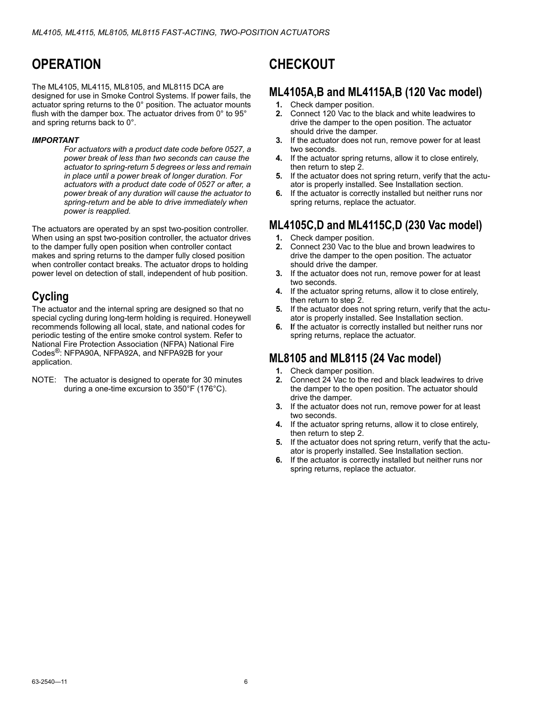# <span id="page-5-0"></span>**OPERATION**

The ML4105, ML4115, ML8105, and ML8115 DCA are designed for use in Smoke Control Systems. If power fails, the actuator spring returns to the 0° position. The actuator mounts flush with the damper box. The actuator drives from 0° to 95° and spring returns back to 0°.

### *IMPORTANT*

*For actuators with a product date code before 0527, a power break of less than two seconds can cause the actuator to spring-return 5 degrees or less and remain in place until a power break of longer duration. For actuators with a product date code of 0527 or after, a power break of any duration will cause the actuator to spring-return and be able to drive immediately when power is reapplied.*

The actuators are operated by an spst two-position controller. When using an spst two-position controller, the actuator drives to the damper fully open position when controller contact makes and spring returns to the damper fully closed position when controller contact breaks. The actuator drops to holding power level on detection of stall, independent of hub position.

## **Cycling**

The actuator and the internal spring are designed so that no special cycling during long-term holding is required. Honeywell recommends following all local, state, and national codes for periodic testing of the entire smoke control system. Refer to National Fire Protection Association (NFPA) National Fire Codes<sup>®</sup>: NFPA90A, NFPA92A, and NFPA92B for your application.

NOTE: The actuator is designed to operate for 30 minutes during a one-time excursion to 350°F (176°C).

# **CHECKOUT**

## **ML4105A,B and ML4115A,B (120 Vac model)**

- **1.** Check damper position.
- **2.** Connect 120 Vac to the black and white leadwires to drive the damper to the open position. The actuator should drive the damper.
- **3.** If the actuator does not run, remove power for at least two seconds.
- **4.** If the actuator spring returns, allow it to close entirely, then return to step 2.
- **5.** If the actuator does not spring return, verify that the actuator is properly installed. See Installation section.
- **6.** If the actuator is correctly installed but neither runs nor spring returns, replace the actuator.

## **ML4105C,D and ML4115C,D (230 Vac model)**

- **1.** Check damper position.
- **2.** Connect 230 Vac to the blue and brown leadwires to drive the damper to the open position. The actuator should drive the damper.
- **3.** If the actuator does not run, remove power for at least two seconds.
- **4.** If the actuator spring returns, allow it to close entirely, then return to step 2.
- **5.** If the actuator does not spring return, verify that the actuator is properly installed. See Installation section.
- **6. I**f the actuator is correctly installed but neither runs nor spring returns, replace the actuator.

## **ML8105 and ML8115 (24 Vac model)**

- **1.** Check damper position.
- **2.** Connect 24 Vac to the red and black leadwires to drive the damper to the open position. The actuator should drive the damper.
- **3.** If the actuator does not run, remove power for at least two seconds.
- **4.** If the actuator spring returns, allow it to close entirely, then return to step 2.
- **5.** If the actuator does not spring return, verify that the actuator is properly installed. See Installation section.
- **6.** If the actuator is correctly installed but neither runs nor spring returns, replace the actuator.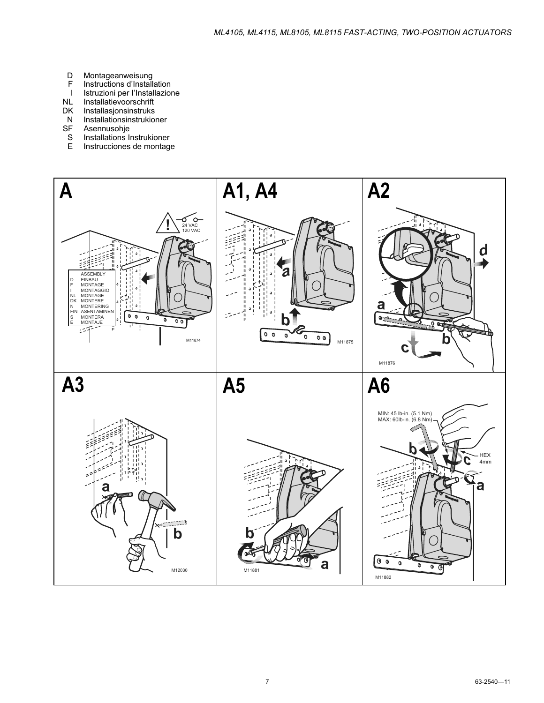- D
- $\mathsf F$
- Montageanweisung<br>Instructions d'Installation<br>Istruzioni per l'Installazione  $\mathbf{I}$
- $\sf NL$ Installatievoorschrift
- DK Installasjonsinstruks
- ${\sf N}$ Installationsinstrukioner
- **SF** Asennusohje
- Installations Instrukioner  $\mathbf S$
- Ė Instrucciones de montage